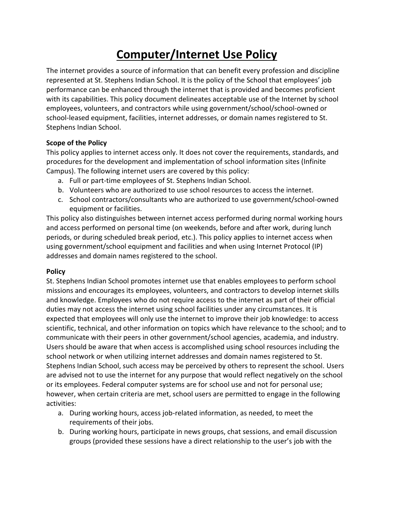# **Computer/Internet Use Policy**

The internet provides a source of information that can benefit every profession and discipline represented at St. Stephens Indian School. It is the policy of the School that employees' job performance can be enhanced through the internet that is provided and becomes proficient with its capabilities. This policy document delineates acceptable use of the Internet by school employees, volunteers, and contractors while using government/school/school-owned or school-leased equipment, facilities, internet addresses, or domain names registered to St. Stephens Indian School.

### **Scope of the Policy**

This policy applies to internet access only. It does not cover the requirements, standards, and procedures for the development and implementation of school information sites (Infinite Campus). The following internet users are covered by this policy:

- a. Full or part-time employees of St. Stephens Indian School.
- b. Volunteers who are authorized to use school resources to access the internet.
- c. School contractors/consultants who are authorized to use government/school-owned equipment or facilities.

This policy also distinguishes between internet access performed during normal working hours and access performed on personal time (on weekends, before and after work, during lunch periods, or during scheduled break period, etc.). This policy applies to internet access when using government/school equipment and facilities and when using Internet Protocol (IP) addresses and domain names registered to the school.

### **Policy**

St. Stephens Indian School promotes internet use that enables employees to perform school missions and encourages its employees, volunteers, and contractors to develop internet skills and knowledge. Employees who do not require access to the internet as part of their official duties may not access the internet using school facilities under any circumstances. It is expected that employees will only use the internet to improve their job knowledge: to access scientific, technical, and other information on topics which have relevance to the school; and to communicate with their peers in other government/school agencies, academia, and industry. Users should be aware that when access is accomplished using school resources including the school network or when utilizing internet addresses and domain names registered to St. Stephens Indian School, such access may be perceived by others to represent the school. Users are advised not to use the internet for any purpose that would reflect negatively on the school or its employees. Federal computer systems are for school use and not for personal use; however, when certain criteria are met, school users are permitted to engage in the following activities:

- a. During working hours, access job-related information, as needed, to meet the requirements of their jobs.
- b. During working hours, participate in news groups, chat sessions, and email discussion groups (provided these sessions have a direct relationship to the user's job with the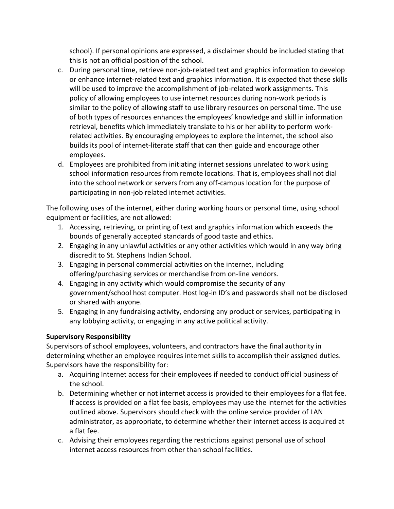school). If personal opinions are expressed, a disclaimer should be included stating that this is not an official position of the school.

- c. During personal time, retrieve non-job-related text and graphics information to develop or enhance internet-related text and graphics information. It is expected that these skills will be used to improve the accomplishment of job-related work assignments. This policy of allowing employees to use internet resources during non-work periods is similar to the policy of allowing staff to use library resources on personal time. The use of both types of resources enhances the employees' knowledge and skill in information retrieval, benefits which immediately translate to his or her ability to perform workrelated activities. By encouraging employees to explore the internet, the school also builds its pool of internet-literate staff that can then guide and encourage other employees.
- d. Employees are prohibited from initiating internet sessions unrelated to work using school information resources from remote locations. That is, employees shall not dial into the school network or servers from any off-campus location for the purpose of participating in non-job related internet activities.

The following uses of the internet, either during working hours or personal time, using school equipment or facilities, are not allowed:

- 1. Accessing, retrieving, or printing of text and graphics information which exceeds the bounds of generally accepted standards of good taste and ethics.
- 2. Engaging in any unlawful activities or any other activities which would in any way bring discredit to St. Stephens Indian School.
- 3. Engaging in personal commercial activities on the internet, including offering/purchasing services or merchandise from on-line vendors.
- 4. Engaging in any activity which would compromise the security of any government/school host computer. Host log-in ID's and passwords shall not be disclosed or shared with anyone.
- 5. Engaging in any fundraising activity, endorsing any product or services, participating in any lobbying activity, or engaging in any active political activity.

### **Supervisory Responsibility**

Supervisors of school employees, volunteers, and contractors have the final authority in determining whether an employee requires internet skills to accomplish their assigned duties. Supervisors have the responsibility for:

- a. Acquiring Internet access for their employees if needed to conduct official business of the school.
- b. Determining whether or not internet access is provided to their employees for a flat fee. If access is provided on a flat fee basis, employees may use the internet for the activities outlined above. Supervisors should check with the online service provider of LAN administrator, as appropriate, to determine whether their internet access is acquired at a flat fee.
- c. Advising their employees regarding the restrictions against personal use of school internet access resources from other than school facilities.